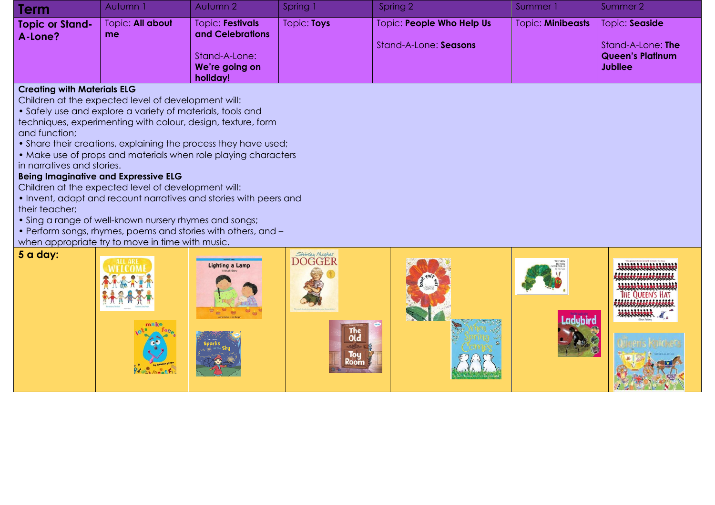| <b>Term</b>                       | Autumn 1               | Autumn 2                                    | Spring 1    | Spring 2                  | Summer 1                 | Summer 2                                                       |
|-----------------------------------|------------------------|---------------------------------------------|-------------|---------------------------|--------------------------|----------------------------------------------------------------|
| <b>Topic or Stand-</b><br>A-Lone? | Topic: All about<br>me | <b>Topic: Festivals</b><br>and Celebrations | Topic: Toys | Topic: People Who Help Us | <b>Topic: Minibeasts</b> | Topic: Seaside                                                 |
|                                   |                        | Stand-A-Lone:<br>We're going on             |             | Stand-A-Lone: Seasons     |                          | Stand-A-Lone: The<br><b>Queen's Platinum</b><br><b>Jubilee</b> |
|                                   |                        | holiday!                                    |             |                           |                          |                                                                |

## **Creating with Materials ELG**

**5 a day:**

Children at the expected level of development will:

• Safely use and explore a variety of materials, tools and techniques, experimenting with colour, design, texture, form and function;

• Share their creations, explaining the process they have used:

• Make use of props and materials when role playing characters in narratives and stories.

## **Being Imaginative and Expressive ELG**

Children at the expected level of development will:

- Invent, adapt and recount narratives and stories with peers and their teacher;
- Sing a range of well-known nursery rhymes and songs;
- Perform songs, rhymes, poems and stories with others, and –
- when appropriate try to move in time with music.

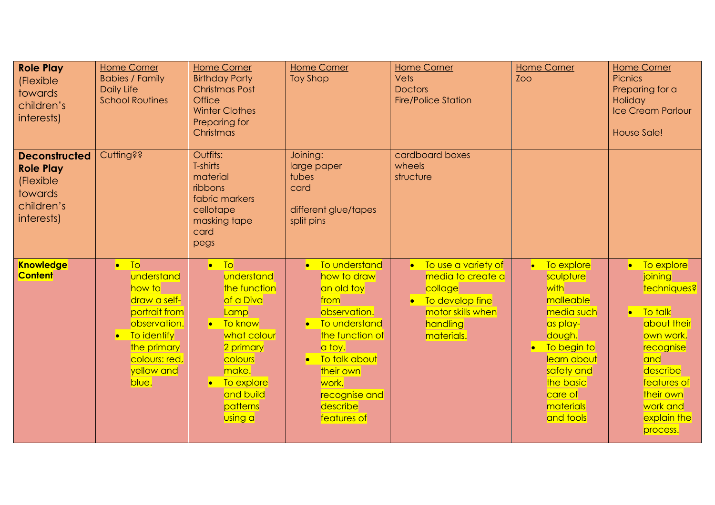| <b>Role Play</b><br>(Flexible<br>towards<br>children's<br>interests)                         | <b>Home Corner</b><br><b>Babies / Family</b><br><b>Daily Life</b><br><b>School Routines</b>                                                                   | <b>Home Corner</b><br><b>Birthday Party</b><br><b>Christmas Post</b><br><b>Office</b><br><b>Winter Clothes</b><br>Preparing for<br>Christmas                                   | <b>Home Corner</b><br><b>Toy Shop</b>                                                                                                                                                                                | <b>Home Corner</b><br><b>Vets</b><br><b>Doctors</b><br><b>Fire/Police Station</b>                                       | <b>Home Corner</b><br>Zoo                                                                                                                                                        | <b>Home Corner</b><br><b>Picnics</b><br>Preparing for a<br>Holiday<br>Ice Cream Parlour<br>House Sale!                                                                                     |
|----------------------------------------------------------------------------------------------|---------------------------------------------------------------------------------------------------------------------------------------------------------------|--------------------------------------------------------------------------------------------------------------------------------------------------------------------------------|----------------------------------------------------------------------------------------------------------------------------------------------------------------------------------------------------------------------|-------------------------------------------------------------------------------------------------------------------------|----------------------------------------------------------------------------------------------------------------------------------------------------------------------------------|--------------------------------------------------------------------------------------------------------------------------------------------------------------------------------------------|
| <b>Deconstructed</b><br><b>Role Play</b><br>(Flexible<br>towards<br>children's<br>interests) | <b>Cutting??</b>                                                                                                                                              | Outfits:<br>T-shirts<br>material<br>ribbons<br>fabric markers<br>cellotape<br>masking tape<br>card<br>pegs                                                                     | Joining:<br>large paper<br>tubes<br>card<br>different glue/tapes<br>split pins                                                                                                                                       | cardboard boxes<br>wheels<br>structure                                                                                  |                                                                                                                                                                                  |                                                                                                                                                                                            |
| <b>Knowledge</b><br><b>Content</b>                                                           | $\bullet$ To<br>understand<br>how to<br>draw a self-<br>portrait from<br>observation.<br>• To identify<br>the primary<br>colours: red,<br>yellow and<br>blue. | $\bullet$ To<br>understand<br>the function<br>of a Diva<br>Lamp<br>• To know<br>what colour<br>2 primary<br>colours<br>make.<br>To explore<br>and build<br>patterns<br>using a | • To understand<br>how to draw<br>an old toy<br>from<br>observation.<br>To understand<br>$\bullet$<br>the function of<br>a toy.<br>• To talk about<br>their own<br>work,<br>recognise and<br>describe<br>features of | To use a variety of<br>media to create a<br>collage<br>• To develop fine<br>motor skills when<br>handling<br>materials. | • To explore<br>sculpture<br>with<br>malleable<br>media such<br>as play-<br>dough.<br>To begin to<br>learn about<br>safety and<br>the basic<br>care of<br>materials<br>and tools | • To explore<br>joining<br>techniques?<br>$\bullet$ To talk<br>about their<br>own work,<br>recognise<br>and<br>describe<br>features of<br>their own<br>work and<br>explain the<br>process. |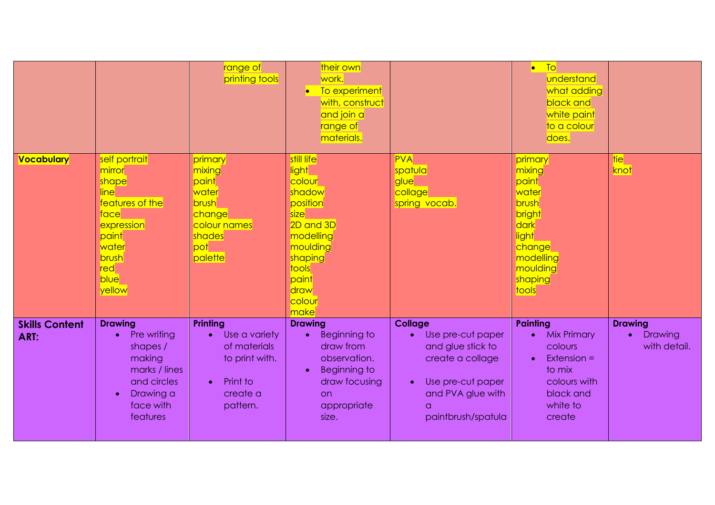|                               |                                                                                                                                                     | range of<br>printing tools                                                                                   | their own<br>work.<br>• To experiment<br>with, construct<br>and join a<br>range of<br>materials.                                                         |                                                                                                                                                                       | To<br>$\bullet$<br>understand<br>what adding<br>black and<br>white paint<br>to a colour<br>does.                                            |                                                        |
|-------------------------------|-----------------------------------------------------------------------------------------------------------------------------------------------------|--------------------------------------------------------------------------------------------------------------|----------------------------------------------------------------------------------------------------------------------------------------------------------|-----------------------------------------------------------------------------------------------------------------------------------------------------------------------|---------------------------------------------------------------------------------------------------------------------------------------------|--------------------------------------------------------|
| <b>Vocabulary</b>             | self portrait<br>mirror<br>shape<br>line<br>features of the<br>face<br>expression<br>paint<br>water<br>brush<br>red<br><b>blue</b><br>yellow        | primary<br>mixing<br>paint<br>water<br>brush<br>change<br>colour names<br>shades<br>pot<br>palette           | still life<br>light<br>colour<br>shadow<br>position<br>size<br>2D and 3D<br>modelling<br>moulding<br>shaping<br>tools<br>paint<br>draw<br>colour<br>make | <b>PVA</b><br>spatula<br>glue<br>collage<br>spring vocab.                                                                                                             | primary<br>mixing<br>paint<br>water<br>brush<br>bright<br>dark<br>light<br>change<br>modelling<br>moulding<br>shaping<br>tools              | tie<br>knot                                            |
| <b>Skills Content</b><br>ART: | <b>Drawing</b><br>Pre writing<br>$\bullet$<br>shapes /<br>making<br>marks / lines<br>and circles<br>Drawing a<br>$\bullet$<br>face with<br>features | Printing<br>Use a variety<br>of materials<br>to print with.<br>Print to<br>$\bullet$<br>create a<br>pattern. | <b>Drawing</b><br>Beginning to<br>draw from<br>observation.<br>Beginning to<br>draw focusing<br><b>on</b><br>appropriate<br>size.                        | <b>Collage</b><br>Use pre-cut paper<br>and glue stick to<br>create a collage<br>Use pre-cut paper<br>$\bullet$<br>and PVA glue with<br>$\alpha$<br>paintbrush/spatula | <b>Painting</b><br><b>Mix Primary</b><br>colours<br>Extension $=$<br>$\bullet$<br>to mix<br>colours with<br>black and<br>white to<br>create | <b>Drawing</b><br>Drawing<br>$\bullet$<br>with detail. |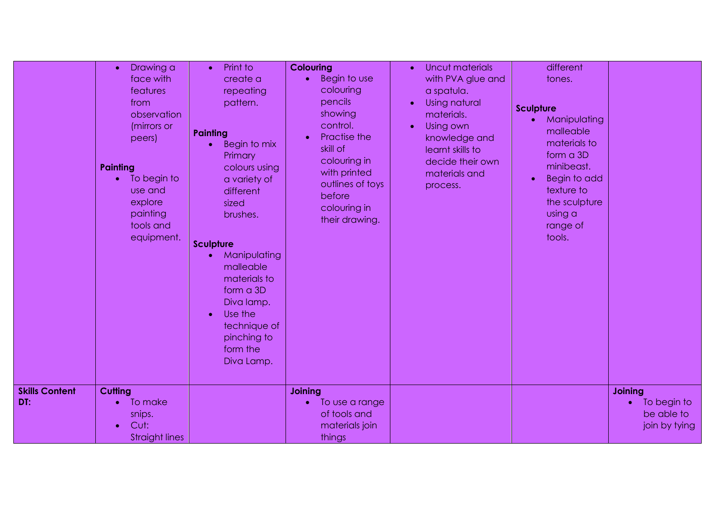|                              | Drawing a<br>$\bullet$<br>face with<br>features<br>from<br>observation<br>(mirrors or<br>peers)<br>Painting<br>To begin to<br>$\bullet$<br>use and<br>explore<br>painting<br>tools and<br>equipment. | Print to<br>$\bullet$<br>create a<br>repeating<br>pattern.<br>Painting<br>Begin to mix<br>$\bullet$<br>Primary<br>colours using<br>a variety of<br>different<br>sized<br>brushes.<br><b>Sculpture</b><br>Manipulating<br>malleable<br>materials to<br>form a 3D<br>Diva lamp.<br>Use the<br>$\bullet$<br>technique of<br>pinching to<br>form the<br>Diva Lamp. | <b>Colouring</b><br>Begin to use<br>$\bullet$<br>colouring<br>pencils<br>showing<br>control.<br>Practise the<br>skill of<br>colouring in<br>with printed<br>outlines of toys<br>before<br>colouring in<br>their drawing. | Uncut materials<br>$\bullet$<br>with PVA glue and<br>a spatula.<br><b>Using natural</b><br>$\bullet$<br>materials.<br>Using own<br>$\bullet$<br>knowledge and<br>learnt skills to<br>decide their own<br>materials and<br>process. | different<br>tones.<br><b>Sculpture</b><br>Manipulating<br>$\bullet$<br>malleable<br>materials to<br>form a 3D<br>minibeast.<br><b>Begin to add</b><br>$\bullet$<br>texture to<br>the sculpture<br>using a<br>range of<br>tools. |                                                                           |
|------------------------------|------------------------------------------------------------------------------------------------------------------------------------------------------------------------------------------------------|----------------------------------------------------------------------------------------------------------------------------------------------------------------------------------------------------------------------------------------------------------------------------------------------------------------------------------------------------------------|--------------------------------------------------------------------------------------------------------------------------------------------------------------------------------------------------------------------------|------------------------------------------------------------------------------------------------------------------------------------------------------------------------------------------------------------------------------------|----------------------------------------------------------------------------------------------------------------------------------------------------------------------------------------------------------------------------------|---------------------------------------------------------------------------|
| <b>Skills Content</b><br>DT: | <b>Cutting</b><br>To make<br>$\bullet$<br>snips.<br>Cut:<br><b>Straight lines</b>                                                                                                                    |                                                                                                                                                                                                                                                                                                                                                                | Joining<br>To use a range<br>$\bullet$<br>of tools and<br>materials join<br>things                                                                                                                                       |                                                                                                                                                                                                                                    |                                                                                                                                                                                                                                  | <b>Joining</b><br>To begin to<br>$\bullet$<br>be able to<br>join by tying |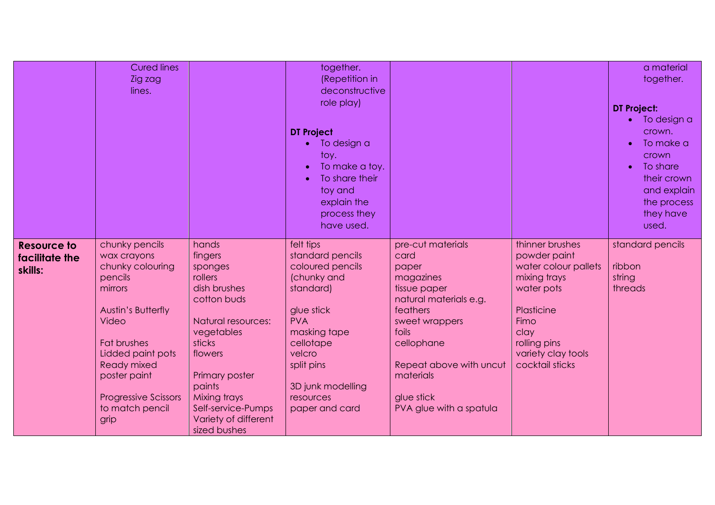|                                                 | <b>Cured lines</b><br>Zig zag<br>lines.                                                                                                                                                                                                                  |                                                                                                                                                                                                                                          | together.<br>(Repetition in<br>deconstructive<br>role play)<br><b>DT Project</b><br>To design a<br>toy.<br>To make a toy.<br>To share their<br>toy and<br>explain the<br>process they<br>have used.                |                                                                                                                                                                                                                                 |                                                                                                                                                                              | a material<br>together.<br><b>DT Project:</b><br>To design a<br>crown.<br>To make a<br>crown<br>To share<br>$\bullet$<br>their crown<br>and explain<br>the process<br>they have<br>used. |
|-------------------------------------------------|----------------------------------------------------------------------------------------------------------------------------------------------------------------------------------------------------------------------------------------------------------|------------------------------------------------------------------------------------------------------------------------------------------------------------------------------------------------------------------------------------------|--------------------------------------------------------------------------------------------------------------------------------------------------------------------------------------------------------------------|---------------------------------------------------------------------------------------------------------------------------------------------------------------------------------------------------------------------------------|------------------------------------------------------------------------------------------------------------------------------------------------------------------------------|------------------------------------------------------------------------------------------------------------------------------------------------------------------------------------------|
| <b>Resource to</b><br>facilitate the<br>skills: | chunky pencils<br>wax crayons<br>chunky colouring<br>pencils<br>mirrors<br><b>Austin's Butterfly</b><br><b>Video</b><br>Fat brushes<br>Lidded paint pots<br><b>Ready mixed</b><br>poster paint<br><b>Progressive Scissors</b><br>to match pencil<br>grip | hands<br>fingers<br>sponges<br>rollers<br>dish brushes<br>cotton buds<br>Natural resources:<br>vegetables<br>sticks<br>flowers<br>Primary poster<br>paints<br>Mixing trays<br>Self-service-Pumps<br>Variety of different<br>sized bushes | felt tips<br>standard pencils<br>coloured pencils<br>(chunky and<br>standard)<br>glue stick<br><b>PVA</b><br>masking tape<br>cellotape<br>velcro<br>split pins<br>3D junk modelling<br>resources<br>paper and card | pre-cut materials<br>card<br>paper<br>magazines<br>tissue paper<br>natural materials e.g.<br>feathers<br>sweet wrappers<br>foils<br>cellophane<br>Repeat above with uncut<br>materials<br>glue stick<br>PVA glue with a spatula | thinner brushes<br>powder paint<br>water colour pallets<br>mixing trays<br>water pots<br>Plasticine<br>Fimo<br>clay<br>rolling pins<br>variety clay tools<br>cocktail sticks | standard pencils<br>ribbon<br>string<br>threads                                                                                                                                          |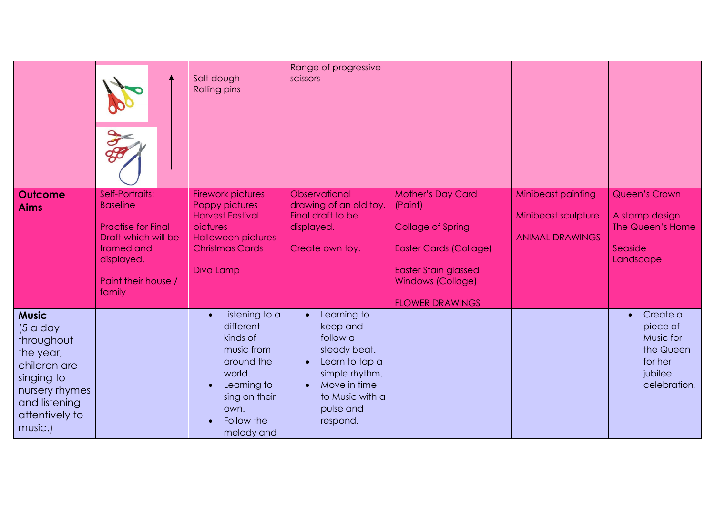|                                                                                                                                                   | <b>SEP</b>                                                                                                                                          | Salt dough<br>Rolling pins                                                                                                                                                  | Range of progressive<br>scissors                                                                                                                                              |                                                                                                                                                                                       |                                                                     |                                                                                                   |
|---------------------------------------------------------------------------------------------------------------------------------------------------|-----------------------------------------------------------------------------------------------------------------------------------------------------|-----------------------------------------------------------------------------------------------------------------------------------------------------------------------------|-------------------------------------------------------------------------------------------------------------------------------------------------------------------------------|---------------------------------------------------------------------------------------------------------------------------------------------------------------------------------------|---------------------------------------------------------------------|---------------------------------------------------------------------------------------------------|
| <b>Outcome</b><br><b>Aims</b>                                                                                                                     | Self-Portraits:<br><b>Baseline</b><br><b>Practise for Final</b><br>Draft which will be<br>framed and<br>displayed.<br>Paint their house /<br>family | <b>Firework pictures</b><br><b>Poppy pictures</b><br><b>Harvest Festival</b><br>pictures<br><b>Halloween pictures</b><br><b>Christmas Cards</b><br>Diva Lamp                | Observational<br>drawing of an old toy.<br>Final draft to be<br>displayed.<br>Create own toy.                                                                                 | <b>Mother's Day Card</b><br>(Paint)<br><b>Collage of Spring</b><br><b>Easter Cards (Collage)</b><br><b>Easter Stain glassed</b><br><b>Windows (Collage)</b><br><b>FLOWER DRAWINGS</b> | Minibeast painting<br>Minibeast sculpture<br><b>ANIMAL DRAWINGS</b> | <b>Queen's Crown</b><br>A stamp design<br>The Queen's Home<br>Seaside<br>Landscape                |
| <b>Music</b><br>(5 a day<br>throughout<br>the year,<br>children are<br>singing to<br>nursery rhymes<br>and listening<br>attentively to<br>music.) |                                                                                                                                                     | Listening to a<br>$\bullet$<br>different<br>kinds of<br>music from<br>around the<br>world.<br>Learning to<br>$\bullet$<br>sing on their<br>own.<br>Follow the<br>melody and | Learning to<br>$\bullet$<br>keep and<br>follow a<br>steady beat.<br>Learn to tap a<br>$\bullet$<br>simple rhythm.<br>Move in time<br>to Music with a<br>pulse and<br>respond. |                                                                                                                                                                                       |                                                                     | Create a<br>$\bullet$<br>piece of<br>Music for<br>the Queen<br>for her<br>jubilee<br>celebration. |